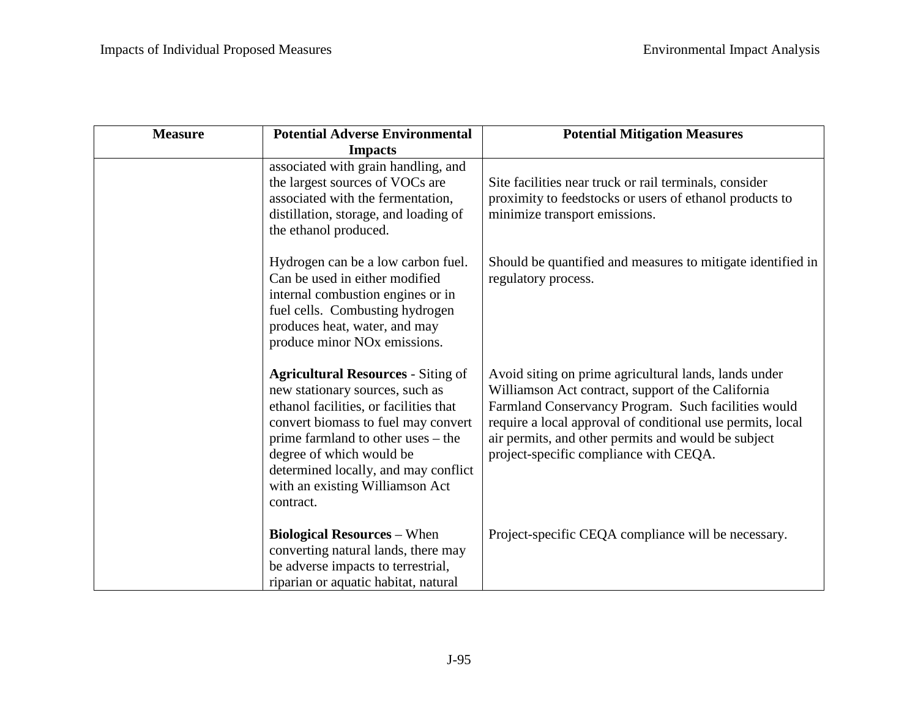| <b>Measure</b> | <b>Potential Adverse Environmental</b>                                                                                                                                                                                                                                                                                  | <b>Potential Mitigation Measures</b>                                                                                                                                                                                                                                                                                              |
|----------------|-------------------------------------------------------------------------------------------------------------------------------------------------------------------------------------------------------------------------------------------------------------------------------------------------------------------------|-----------------------------------------------------------------------------------------------------------------------------------------------------------------------------------------------------------------------------------------------------------------------------------------------------------------------------------|
|                | <b>Impacts</b><br>associated with grain handling, and<br>the largest sources of VOCs are<br>associated with the fermentation,<br>distillation, storage, and loading of<br>the ethanol produced.                                                                                                                         | Site facilities near truck or rail terminals, consider<br>proximity to feedstocks or users of ethanol products to<br>minimize transport emissions.                                                                                                                                                                                |
|                | Hydrogen can be a low carbon fuel.<br>Can be used in either modified<br>internal combustion engines or in<br>fuel cells. Combusting hydrogen<br>produces heat, water, and may<br>produce minor NO <sub>x</sub> emissions.                                                                                               | Should be quantified and measures to mitigate identified in<br>regulatory process.                                                                                                                                                                                                                                                |
|                | <b>Agricultural Resources - Siting of</b><br>new stationary sources, such as<br>ethanol facilities, or facilities that<br>convert biomass to fuel may convert<br>prime farmland to other uses – the<br>degree of which would be<br>determined locally, and may conflict<br>with an existing Williamson Act<br>contract. | Avoid siting on prime agricultural lands, lands under<br>Williamson Act contract, support of the California<br>Farmland Conservancy Program. Such facilities would<br>require a local approval of conditional use permits, local<br>air permits, and other permits and would be subject<br>project-specific compliance with CEQA. |
|                | <b>Biological Resources – When</b><br>converting natural lands, there may<br>be adverse impacts to terrestrial,<br>riparian or aquatic habitat, natural                                                                                                                                                                 | Project-specific CEQA compliance will be necessary.                                                                                                                                                                                                                                                                               |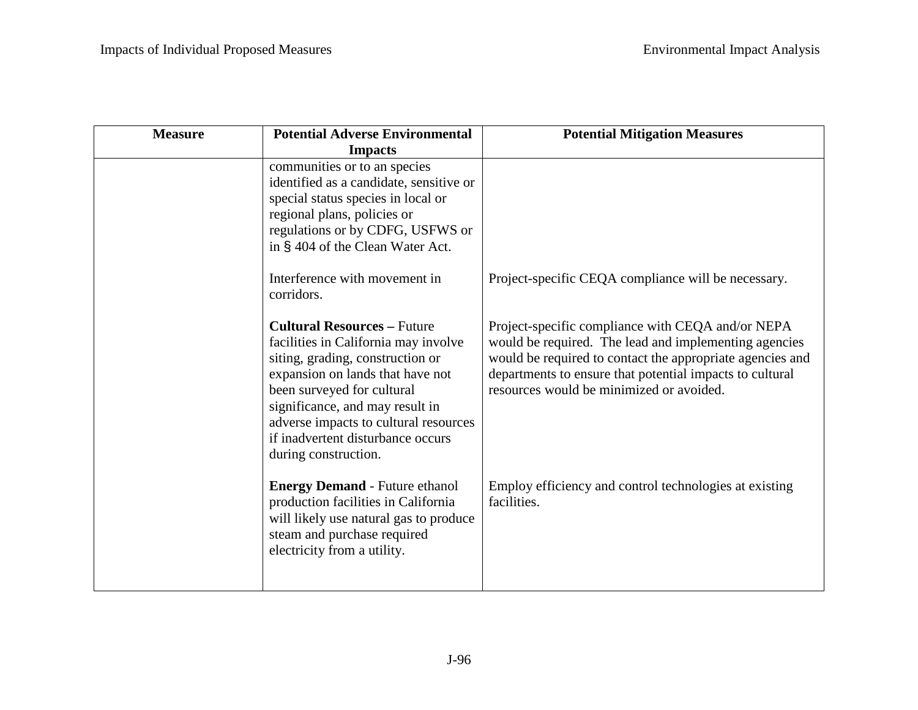| <b>Measure</b> | <b>Potential Adverse Environmental</b>                                                                                                                                                                                                                                                                                    | <b>Potential Mitigation Measures</b>                                                                                                                                                                                                                                            |
|----------------|---------------------------------------------------------------------------------------------------------------------------------------------------------------------------------------------------------------------------------------------------------------------------------------------------------------------------|---------------------------------------------------------------------------------------------------------------------------------------------------------------------------------------------------------------------------------------------------------------------------------|
|                | <b>Impacts</b>                                                                                                                                                                                                                                                                                                            |                                                                                                                                                                                                                                                                                 |
|                | communities or to an species<br>identified as a candidate, sensitive or<br>special status species in local or<br>regional plans, policies or<br>regulations or by CDFG, USFWS or<br>in § 404 of the Clean Water Act.                                                                                                      |                                                                                                                                                                                                                                                                                 |
|                | Interference with movement in<br>corridors.                                                                                                                                                                                                                                                                               | Project-specific CEQA compliance will be necessary.                                                                                                                                                                                                                             |
|                | <b>Cultural Resources - Future</b><br>facilities in California may involve<br>siting, grading, construction or<br>expansion on lands that have not<br>been surveyed for cultural<br>significance, and may result in<br>adverse impacts to cultural resources<br>if inadvertent disturbance occurs<br>during construction. | Project-specific compliance with CEQA and/or NEPA<br>would be required. The lead and implementing agencies<br>would be required to contact the appropriate agencies and<br>departments to ensure that potential impacts to cultural<br>resources would be minimized or avoided. |
|                | <b>Energy Demand - Future ethanol</b><br>production facilities in California<br>will likely use natural gas to produce<br>steam and purchase required<br>electricity from a utility.                                                                                                                                      | Employ efficiency and control technologies at existing<br>facilities.                                                                                                                                                                                                           |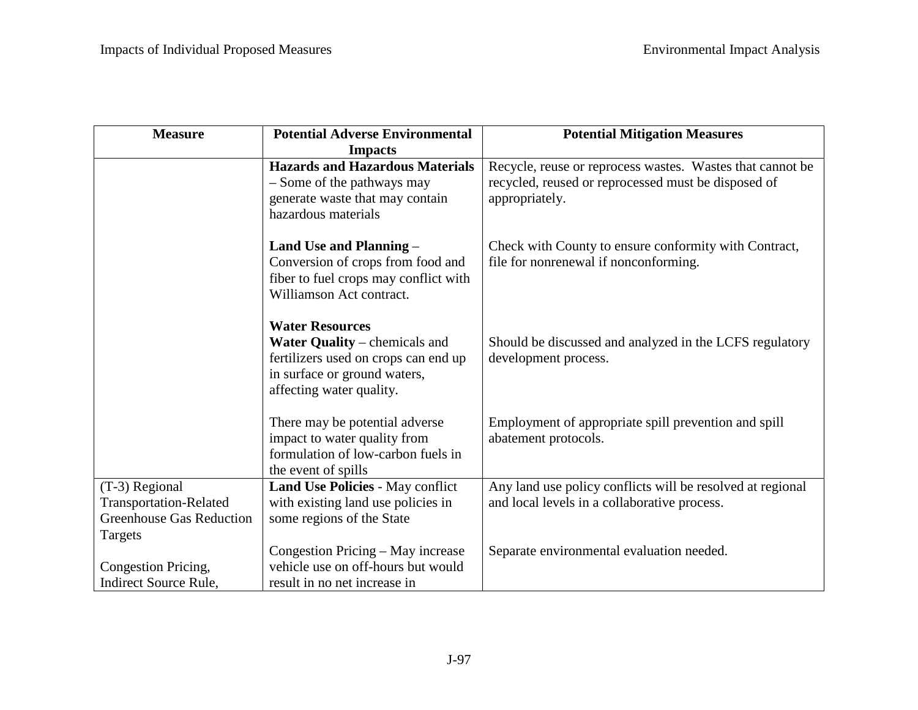| <b>Measure</b>                               | <b>Potential Adverse Environmental</b>                                                                                                                      | <b>Potential Mitigation Measures</b>                                                                                               |
|----------------------------------------------|-------------------------------------------------------------------------------------------------------------------------------------------------------------|------------------------------------------------------------------------------------------------------------------------------------|
|                                              | <b>Impacts</b>                                                                                                                                              |                                                                                                                                    |
|                                              | <b>Hazards and Hazardous Materials</b><br>- Some of the pathways may<br>generate waste that may contain<br>hazardous materials                              | Recycle, reuse or reprocess wastes. Wastes that cannot be<br>recycled, reused or reprocessed must be disposed of<br>appropriately. |
|                                              | Land Use and Planning -<br>Conversion of crops from food and<br>fiber to fuel crops may conflict with<br>Williamson Act contract.                           | Check with County to ensure conformity with Contract,<br>file for nonrenewal if nonconforming.                                     |
|                                              | <b>Water Resources</b><br>Water Quality – chemicals and<br>fertilizers used on crops can end up<br>in surface or ground waters,<br>affecting water quality. | Should be discussed and analyzed in the LCFS regulatory<br>development process.                                                    |
|                                              | There may be potential adverse<br>impact to water quality from<br>formulation of low-carbon fuels in<br>the event of spills                                 | Employment of appropriate spill prevention and spill<br>abatement protocols.                                                       |
| (T-3) Regional                               | Land Use Policies - May conflict                                                                                                                            | Any land use policy conflicts will be resolved at regional                                                                         |
| <b>Transportation-Related</b>                | with existing land use policies in                                                                                                                          | and local levels in a collaborative process.                                                                                       |
| <b>Greenhouse Gas Reduction</b>              | some regions of the State                                                                                                                                   |                                                                                                                                    |
| Targets                                      |                                                                                                                                                             |                                                                                                                                    |
|                                              | Congestion Pricing – May increase<br>vehicle use on off-hours but would                                                                                     | Separate environmental evaluation needed.                                                                                          |
| Congestion Pricing,<br>Indirect Source Rule, | result in no net increase in                                                                                                                                |                                                                                                                                    |
|                                              |                                                                                                                                                             |                                                                                                                                    |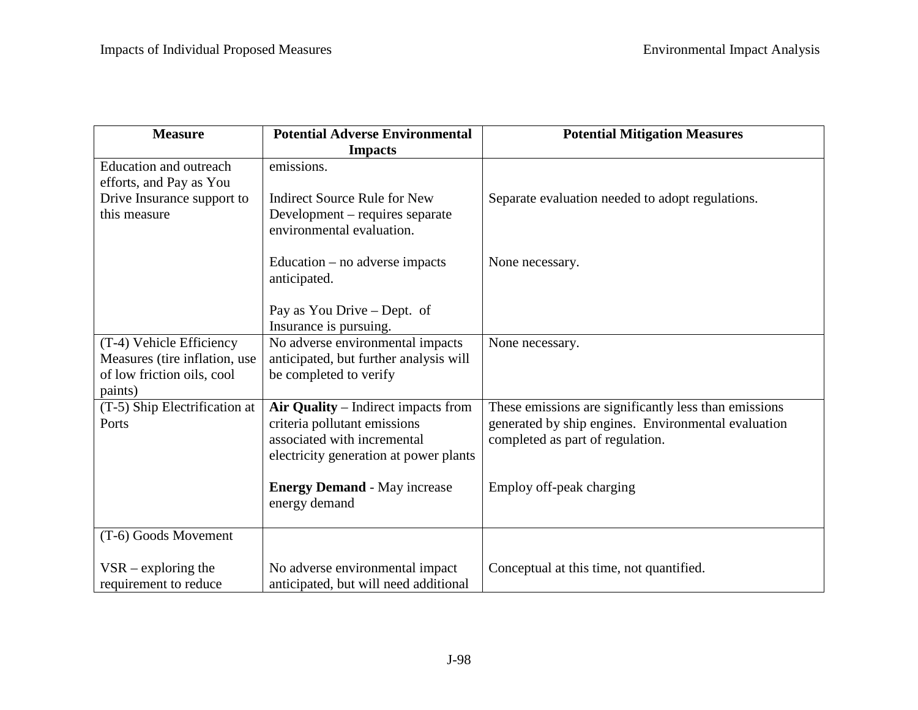| <b>Measure</b>                                                                                     | <b>Potential Adverse Environmental</b>                                                                                                       | <b>Potential Mitigation Measures</b>                                                                                                             |
|----------------------------------------------------------------------------------------------------|----------------------------------------------------------------------------------------------------------------------------------------------|--------------------------------------------------------------------------------------------------------------------------------------------------|
|                                                                                                    | <b>Impacts</b>                                                                                                                               |                                                                                                                                                  |
| <b>Education and outreach</b><br>efforts, and Pay as You                                           | emissions.                                                                                                                                   |                                                                                                                                                  |
| Drive Insurance support to<br>this measure                                                         | <b>Indirect Source Rule for New</b><br>Development – requires separate<br>environmental evaluation.                                          | Separate evaluation needed to adopt regulations.                                                                                                 |
|                                                                                                    | Education $-$ no adverse impacts<br>anticipated.                                                                                             | None necessary.                                                                                                                                  |
|                                                                                                    | Pay as You Drive - Dept. of<br>Insurance is pursuing.                                                                                        |                                                                                                                                                  |
| (T-4) Vehicle Efficiency<br>Measures (tire inflation, use<br>of low friction oils, cool<br>paints) | No adverse environmental impacts<br>anticipated, but further analysis will<br>be completed to verify                                         | None necessary.                                                                                                                                  |
| (T-5) Ship Electrification at<br>Ports                                                             | Air Quality - Indirect impacts from<br>criteria pollutant emissions<br>associated with incremental<br>electricity generation at power plants | These emissions are significantly less than emissions<br>generated by ship engines. Environmental evaluation<br>completed as part of regulation. |
|                                                                                                    | <b>Energy Demand - May increase</b><br>energy demand                                                                                         | Employ off-peak charging                                                                                                                         |
| (T-6) Goods Movement                                                                               |                                                                                                                                              |                                                                                                                                                  |
| $VSR - exploring$ the<br>requirement to reduce                                                     | No adverse environmental impact<br>anticipated, but will need additional                                                                     | Conceptual at this time, not quantified.                                                                                                         |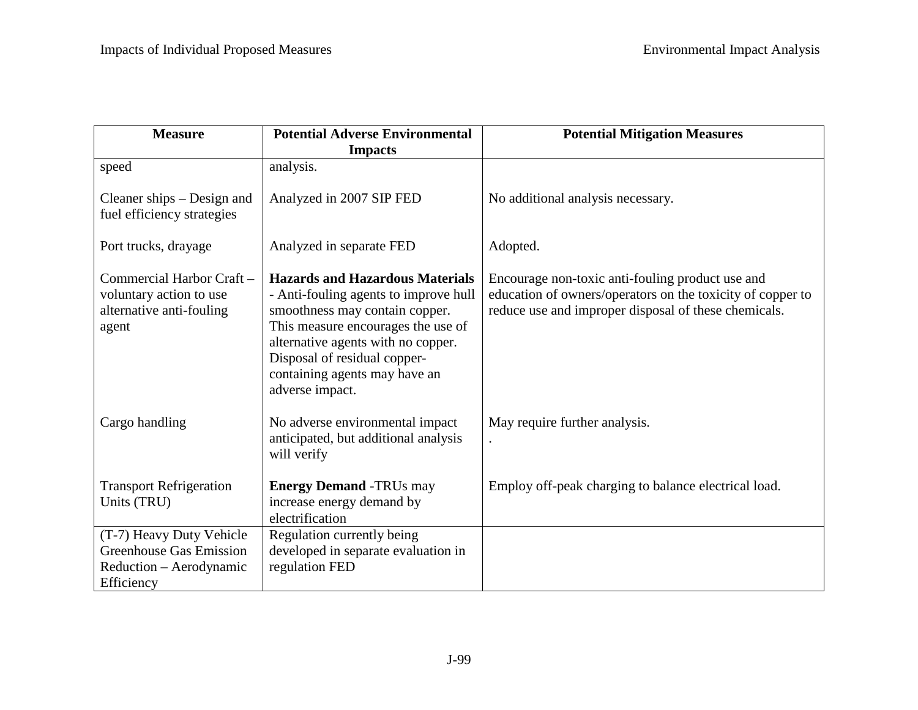| <b>Measure</b>                                                                                      | <b>Potential Adverse Environmental</b>                                                                                                                                                                                                                                            | <b>Potential Mitigation Measures</b>                                                                                                                                   |
|-----------------------------------------------------------------------------------------------------|-----------------------------------------------------------------------------------------------------------------------------------------------------------------------------------------------------------------------------------------------------------------------------------|------------------------------------------------------------------------------------------------------------------------------------------------------------------------|
|                                                                                                     | <b>Impacts</b>                                                                                                                                                                                                                                                                    |                                                                                                                                                                        |
| speed                                                                                               | analysis.                                                                                                                                                                                                                                                                         |                                                                                                                                                                        |
| Cleaner ships – Design and<br>fuel efficiency strategies                                            | Analyzed in 2007 SIP FED                                                                                                                                                                                                                                                          | No additional analysis necessary.                                                                                                                                      |
| Port trucks, drayage                                                                                | Analyzed in separate FED                                                                                                                                                                                                                                                          | Adopted.                                                                                                                                                               |
| Commercial Harbor Craft -<br>voluntary action to use<br>alternative anti-fouling<br>agent           | <b>Hazards and Hazardous Materials</b><br>- Anti-fouling agents to improve hull<br>smoothness may contain copper.<br>This measure encourages the use of<br>alternative agents with no copper.<br>Disposal of residual copper-<br>containing agents may have an<br>adverse impact. | Encourage non-toxic anti-fouling product use and<br>education of owners/operators on the toxicity of copper to<br>reduce use and improper disposal of these chemicals. |
| Cargo handling                                                                                      | No adverse environmental impact<br>anticipated, but additional analysis<br>will verify                                                                                                                                                                                            | May require further analysis.                                                                                                                                          |
| <b>Transport Refrigeration</b><br>Units (TRU)                                                       | <b>Energy Demand -TRUs may</b><br>increase energy demand by<br>electrification                                                                                                                                                                                                    | Employ off-peak charging to balance electrical load.                                                                                                                   |
| (T-7) Heavy Duty Vehicle<br><b>Greenhouse Gas Emission</b><br>Reduction – Aerodynamic<br>Efficiency | Regulation currently being<br>developed in separate evaluation in<br>regulation FED                                                                                                                                                                                               |                                                                                                                                                                        |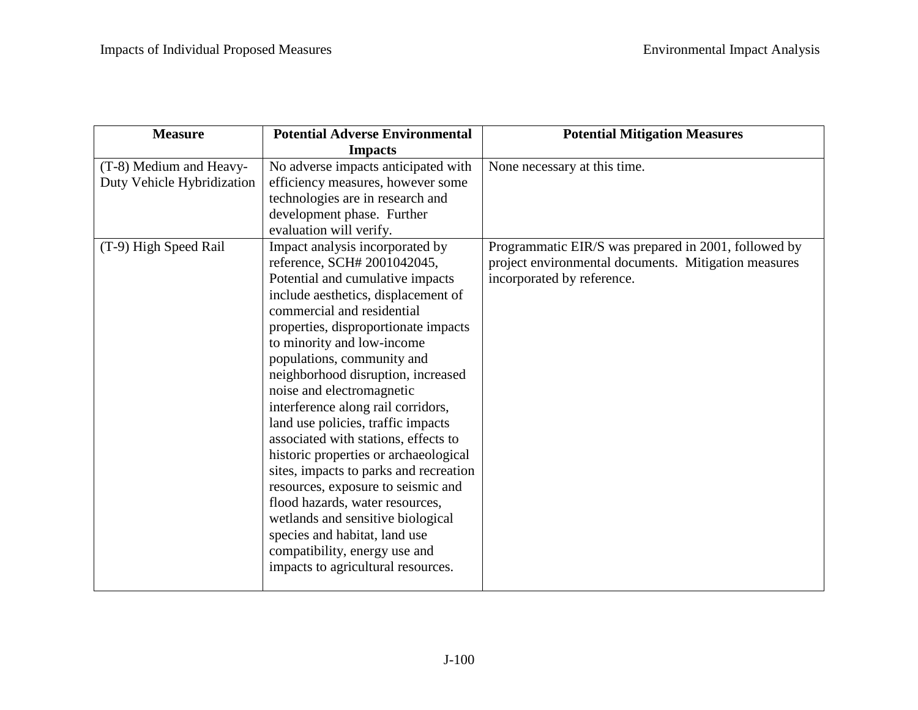| <b>Measure</b>                                                                 | <b>Potential Adverse Environmental</b>                                                                                                                                                                                                                                                                                                                                                                                                                                                                                                                                                                                                                                                                                                   | <b>Potential Mitigation Measures</b>                                                 |
|--------------------------------------------------------------------------------|------------------------------------------------------------------------------------------------------------------------------------------------------------------------------------------------------------------------------------------------------------------------------------------------------------------------------------------------------------------------------------------------------------------------------------------------------------------------------------------------------------------------------------------------------------------------------------------------------------------------------------------------------------------------------------------------------------------------------------------|--------------------------------------------------------------------------------------|
|                                                                                | <b>Impacts</b>                                                                                                                                                                                                                                                                                                                                                                                                                                                                                                                                                                                                                                                                                                                           |                                                                                      |
| (T-8) Medium and Heavy-<br>Duty Vehicle Hybridization<br>(T-9) High Speed Rail | No adverse impacts anticipated with<br>efficiency measures, however some<br>technologies are in research and<br>development phase. Further<br>evaluation will verify.<br>Impact analysis incorporated by                                                                                                                                                                                                                                                                                                                                                                                                                                                                                                                                 | None necessary at this time.<br>Programmatic EIR/S was prepared in 2001, followed by |
|                                                                                | reference, SCH# 2001042045,<br>Potential and cumulative impacts<br>include aesthetics, displacement of<br>commercial and residential<br>properties, disproportionate impacts<br>to minority and low-income<br>populations, community and<br>neighborhood disruption, increased<br>noise and electromagnetic<br>interference along rail corridors,<br>land use policies, traffic impacts<br>associated with stations, effects to<br>historic properties or archaeological<br>sites, impacts to parks and recreation<br>resources, exposure to seismic and<br>flood hazards, water resources,<br>wetlands and sensitive biological<br>species and habitat, land use<br>compatibility, energy use and<br>impacts to agricultural resources. | project environmental documents. Mitigation measures<br>incorporated by reference.   |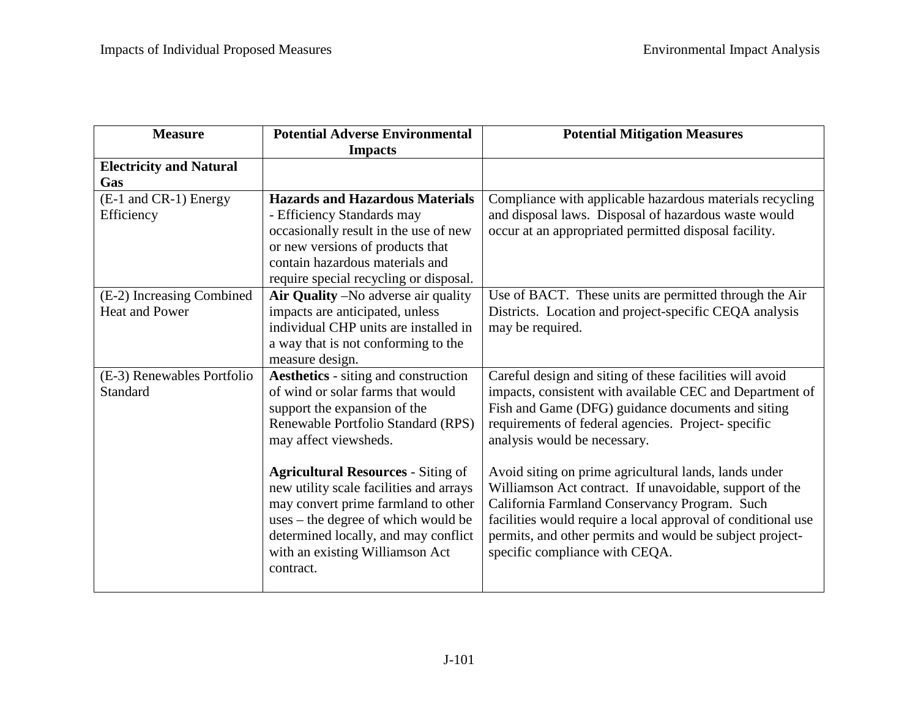| <b>Measure</b>                 | <b>Potential Adverse Environmental</b>      | <b>Potential Mitigation Measures</b>                         |
|--------------------------------|---------------------------------------------|--------------------------------------------------------------|
|                                | <b>Impacts</b>                              |                                                              |
| <b>Electricity and Natural</b> |                                             |                                                              |
| Gas                            |                                             |                                                              |
| (E-1 and CR-1) Energy          | <b>Hazards and Hazardous Materials</b>      | Compliance with applicable hazardous materials recycling     |
| Efficiency                     | - Efficiency Standards may                  | and disposal laws. Disposal of hazardous waste would         |
|                                | occasionally result in the use of new       | occur at an appropriated permitted disposal facility.        |
|                                | or new versions of products that            |                                                              |
|                                | contain hazardous materials and             |                                                              |
|                                | require special recycling or disposal.      |                                                              |
| (E-2) Increasing Combined      | Air Quality – No adverse air quality        | Use of BACT. These units are permitted through the Air       |
| <b>Heat and Power</b>          | impacts are anticipated, unless             | Districts. Location and project-specific CEQA analysis       |
|                                | individual CHP units are installed in       | may be required.                                             |
|                                | a way that is not conforming to the         |                                                              |
|                                | measure design.                             |                                                              |
| (E-3) Renewables Portfolio     | <b>Aesthetics</b> - siting and construction | Careful design and siting of these facilities will avoid     |
| Standard                       | of wind or solar farms that would           | impacts, consistent with available CEC and Department of     |
|                                | support the expansion of the                | Fish and Game (DFG) guidance documents and siting            |
|                                | Renewable Portfolio Standard (RPS)          | requirements of federal agencies. Project-specific           |
|                                | may affect viewsheds.                       | analysis would be necessary.                                 |
|                                |                                             |                                                              |
|                                | <b>Agricultural Resources - Siting of</b>   | Avoid siting on prime agricultural lands, lands under        |
|                                | new utility scale facilities and arrays     | Williamson Act contract. If unavoidable, support of the      |
|                                | may convert prime farmland to other         | California Farmland Conservancy Program. Such                |
|                                | uses – the degree of which would be         | facilities would require a local approval of conditional use |
|                                | determined locally, and may conflict        | permits, and other permits and would be subject project-     |
|                                | with an existing Williamson Act             | specific compliance with CEQA.                               |
|                                | contract.                                   |                                                              |
|                                |                                             |                                                              |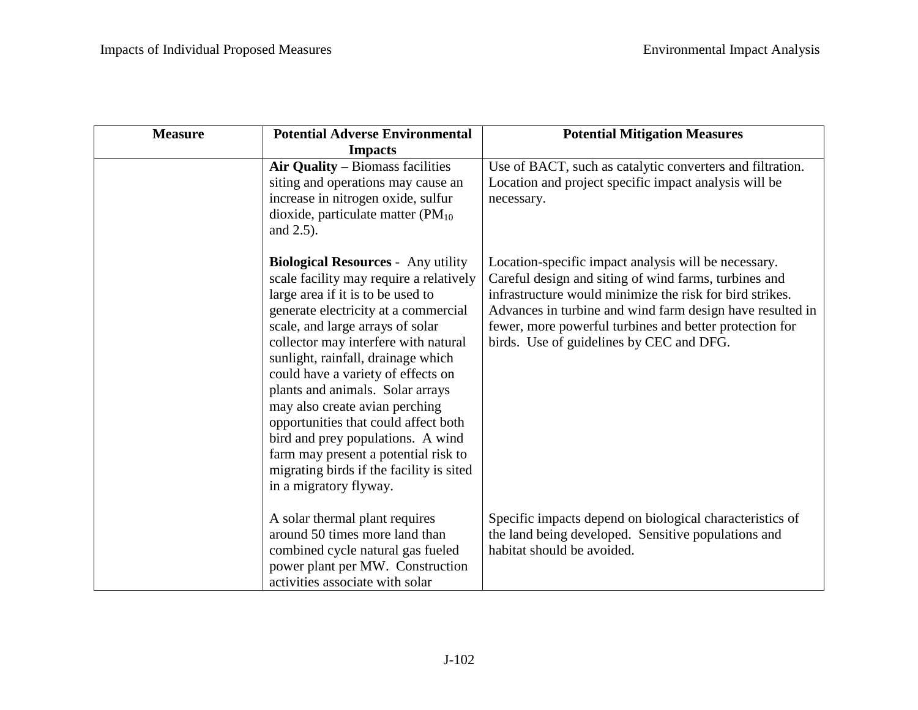| <b>Measure</b> | <b>Potential Adverse Environmental</b>                                                                                                                                                                                                                                                                                                                                                                                                                                                                                                                                                     | <b>Potential Mitigation Measures</b>                                                                                                                                                                                                                                                                                                          |
|----------------|--------------------------------------------------------------------------------------------------------------------------------------------------------------------------------------------------------------------------------------------------------------------------------------------------------------------------------------------------------------------------------------------------------------------------------------------------------------------------------------------------------------------------------------------------------------------------------------------|-----------------------------------------------------------------------------------------------------------------------------------------------------------------------------------------------------------------------------------------------------------------------------------------------------------------------------------------------|
|                | <b>Impacts</b>                                                                                                                                                                                                                                                                                                                                                                                                                                                                                                                                                                             |                                                                                                                                                                                                                                                                                                                                               |
|                | Air Quality – Biomass facilities<br>siting and operations may cause an<br>increase in nitrogen oxide, sulfur<br>dioxide, particulate matter $(PM_{10})$<br>and 2.5).                                                                                                                                                                                                                                                                                                                                                                                                                       | Use of BACT, such as catalytic converters and filtration.<br>Location and project specific impact analysis will be<br>necessary.                                                                                                                                                                                                              |
|                | <b>Biological Resources - Any utility</b><br>scale facility may require a relatively<br>large area if it is to be used to<br>generate electricity at a commercial<br>scale, and large arrays of solar<br>collector may interfere with natural<br>sunlight, rainfall, drainage which<br>could have a variety of effects on<br>plants and animals. Solar arrays<br>may also create avian perching<br>opportunities that could affect both<br>bird and prey populations. A wind<br>farm may present a potential risk to<br>migrating birds if the facility is sited<br>in a migratory flyway. | Location-specific impact analysis will be necessary.<br>Careful design and siting of wind farms, turbines and<br>infrastructure would minimize the risk for bird strikes.<br>Advances in turbine and wind farm design have resulted in<br>fewer, more powerful turbines and better protection for<br>birds. Use of guidelines by CEC and DFG. |
|                | A solar thermal plant requires<br>around 50 times more land than<br>combined cycle natural gas fueled<br>power plant per MW. Construction<br>activities associate with solar                                                                                                                                                                                                                                                                                                                                                                                                               | Specific impacts depend on biological characteristics of<br>the land being developed. Sensitive populations and<br>habitat should be avoided.                                                                                                                                                                                                 |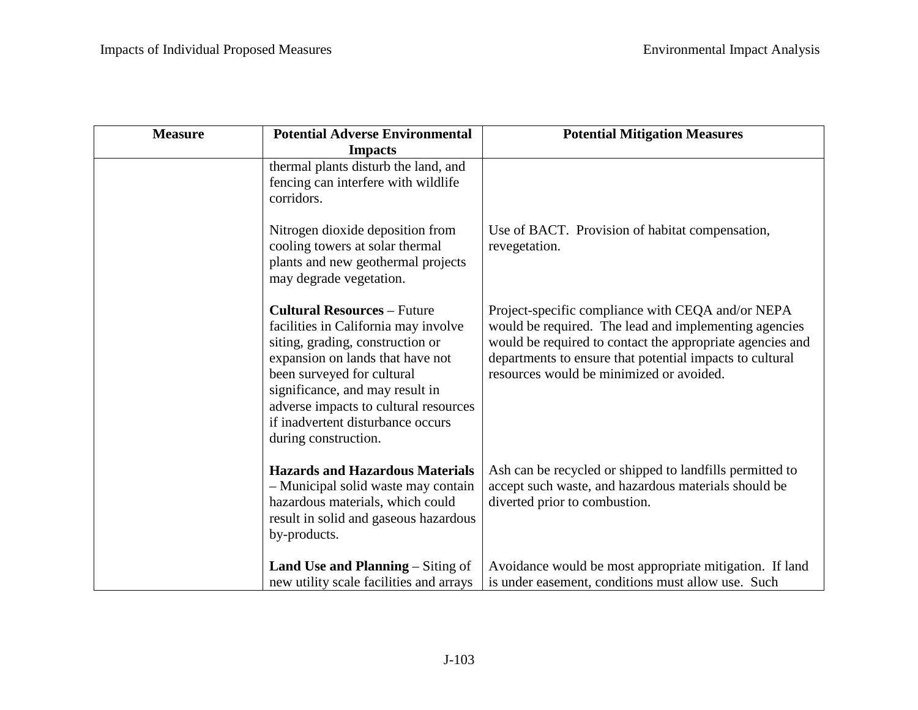| <b>Measure</b> | <b>Potential Adverse Environmental</b>                                                                                                                                                                                                                                                                                    | <b>Potential Mitigation Measures</b>                                                                                                                                                                                                                                            |
|----------------|---------------------------------------------------------------------------------------------------------------------------------------------------------------------------------------------------------------------------------------------------------------------------------------------------------------------------|---------------------------------------------------------------------------------------------------------------------------------------------------------------------------------------------------------------------------------------------------------------------------------|
|                | <b>Impacts</b>                                                                                                                                                                                                                                                                                                            |                                                                                                                                                                                                                                                                                 |
|                | thermal plants disturb the land, and<br>fencing can interfere with wildlife<br>corridors.                                                                                                                                                                                                                                 |                                                                                                                                                                                                                                                                                 |
|                | Nitrogen dioxide deposition from<br>cooling towers at solar thermal<br>plants and new geothermal projects<br>may degrade vegetation.                                                                                                                                                                                      | Use of BACT. Provision of habitat compensation,<br>revegetation.                                                                                                                                                                                                                |
|                | <b>Cultural Resources - Future</b><br>facilities in California may involve<br>siting, grading, construction or<br>expansion on lands that have not<br>been surveyed for cultural<br>significance, and may result in<br>adverse impacts to cultural resources<br>if inadvertent disturbance occurs<br>during construction. | Project-specific compliance with CEQA and/or NEPA<br>would be required. The lead and implementing agencies<br>would be required to contact the appropriate agencies and<br>departments to ensure that potential impacts to cultural<br>resources would be minimized or avoided. |
|                | <b>Hazards and Hazardous Materials</b><br>- Municipal solid waste may contain<br>hazardous materials, which could<br>result in solid and gaseous hazardous<br>by-products.                                                                                                                                                | Ash can be recycled or shipped to landfills permitted to<br>accept such waste, and hazardous materials should be<br>diverted prior to combustion.                                                                                                                               |
|                | <b>Land Use and Planning – Siting of</b><br>new utility scale facilities and arrays                                                                                                                                                                                                                                       | Avoidance would be most appropriate mitigation. If land<br>is under easement, conditions must allow use. Such                                                                                                                                                                   |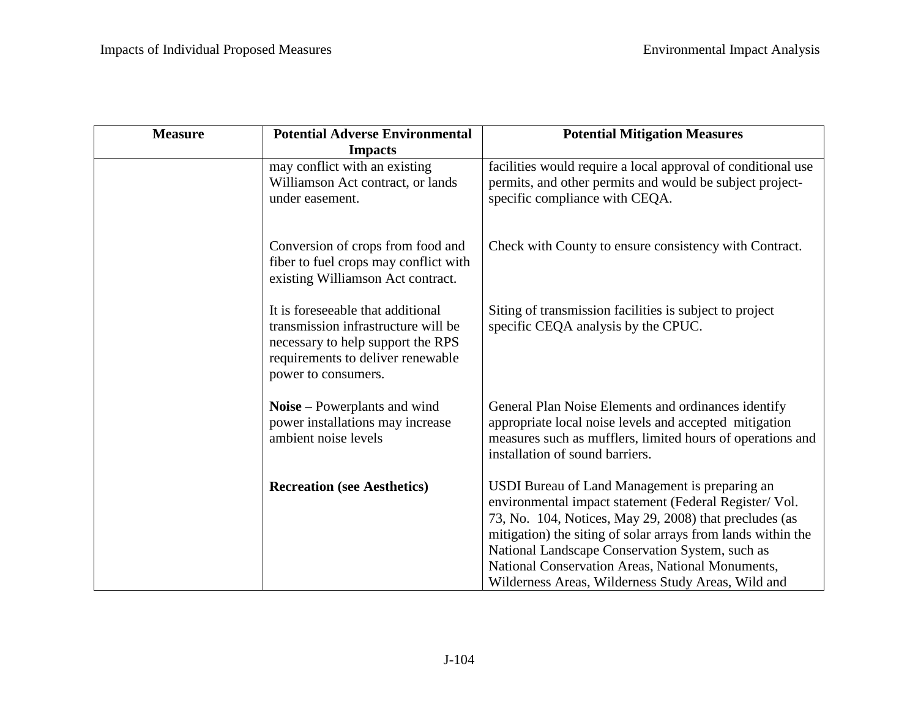| <b>Measure</b> | <b>Potential Adverse Environmental</b>                                                                                                                                    | <b>Potential Mitigation Measures</b>                                                                                                                                                                                                                                                                                                                                                            |
|----------------|---------------------------------------------------------------------------------------------------------------------------------------------------------------------------|-------------------------------------------------------------------------------------------------------------------------------------------------------------------------------------------------------------------------------------------------------------------------------------------------------------------------------------------------------------------------------------------------|
|                | <b>Impacts</b>                                                                                                                                                            |                                                                                                                                                                                                                                                                                                                                                                                                 |
|                | may conflict with an existing<br>Williamson Act contract, or lands<br>under easement.                                                                                     | facilities would require a local approval of conditional use<br>permits, and other permits and would be subject project-<br>specific compliance with CEQA.                                                                                                                                                                                                                                      |
|                | Conversion of crops from food and<br>fiber to fuel crops may conflict with<br>existing Williamson Act contract.                                                           | Check with County to ensure consistency with Contract.                                                                                                                                                                                                                                                                                                                                          |
|                | It is foreseeable that additional<br>transmission infrastructure will be<br>necessary to help support the RPS<br>requirements to deliver renewable<br>power to consumers. | Siting of transmission facilities is subject to project<br>specific CEQA analysis by the CPUC.                                                                                                                                                                                                                                                                                                  |
|                | Noise – Powerplants and wind<br>power installations may increase<br>ambient noise levels                                                                                  | General Plan Noise Elements and ordinances identify<br>appropriate local noise levels and accepted mitigation<br>measures such as mufflers, limited hours of operations and<br>installation of sound barriers.                                                                                                                                                                                  |
|                | <b>Recreation (see Aesthetics)</b>                                                                                                                                        | USDI Bureau of Land Management is preparing an<br>environmental impact statement (Federal Register/ Vol.<br>73, No. 104, Notices, May 29, 2008) that precludes (as<br>mitigation) the siting of solar arrays from lands within the<br>National Landscape Conservation System, such as<br>National Conservation Areas, National Monuments,<br>Wilderness Areas, Wilderness Study Areas, Wild and |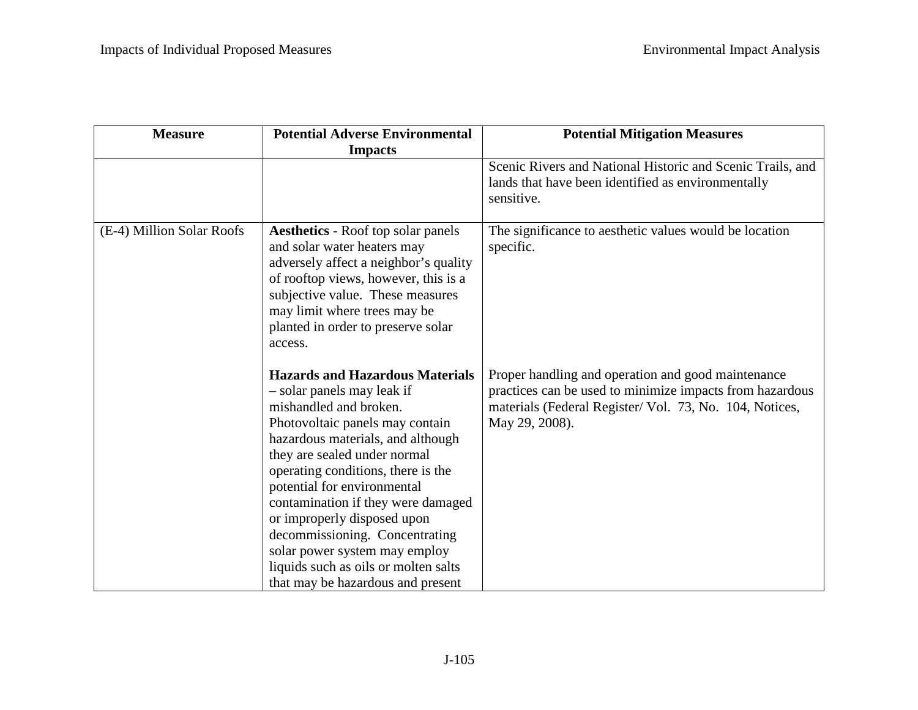| <b>Measure</b>            | <b>Potential Adverse Environmental</b>                                                                                                                                                                                                                                                                                                                                                                                                                                                           | <b>Potential Mitigation Measures</b>                                                                                                                                                        |
|---------------------------|--------------------------------------------------------------------------------------------------------------------------------------------------------------------------------------------------------------------------------------------------------------------------------------------------------------------------------------------------------------------------------------------------------------------------------------------------------------------------------------------------|---------------------------------------------------------------------------------------------------------------------------------------------------------------------------------------------|
|                           | <b>Impacts</b>                                                                                                                                                                                                                                                                                                                                                                                                                                                                                   |                                                                                                                                                                                             |
|                           |                                                                                                                                                                                                                                                                                                                                                                                                                                                                                                  | Scenic Rivers and National Historic and Scenic Trails, and<br>lands that have been identified as environmentally<br>sensitive.                                                              |
| (E-4) Million Solar Roofs | <b>Aesthetics - Roof top solar panels</b><br>and solar water heaters may<br>adversely affect a neighbor's quality<br>of rooftop views, however, this is a<br>subjective value. These measures<br>may limit where trees may be<br>planted in order to preserve solar<br>access.                                                                                                                                                                                                                   | The significance to aesthetic values would be location<br>specific.                                                                                                                         |
|                           | <b>Hazards and Hazardous Materials</b><br>- solar panels may leak if<br>mishandled and broken.<br>Photovoltaic panels may contain<br>hazardous materials, and although<br>they are sealed under normal<br>operating conditions, there is the<br>potential for environmental<br>contamination if they were damaged<br>or improperly disposed upon<br>decommissioning. Concentrating<br>solar power system may employ<br>liquids such as oils or molten salts<br>that may be hazardous and present | Proper handling and operation and good maintenance<br>practices can be used to minimize impacts from hazardous<br>materials (Federal Register/ Vol. 73, No. 104, Notices,<br>May 29, 2008). |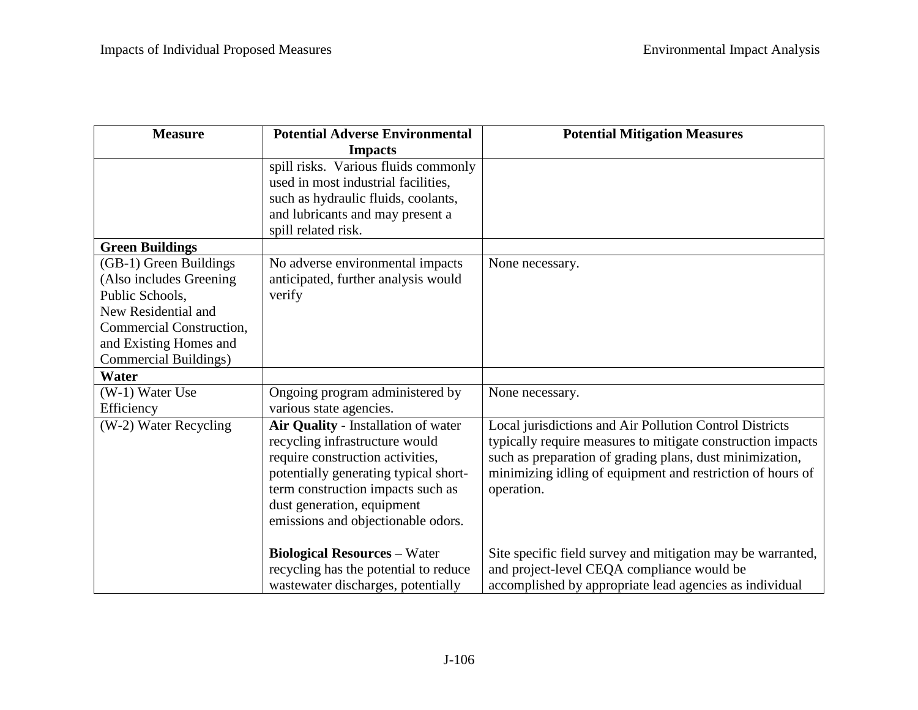| <b>Measure</b>               | <b>Potential Adverse Environmental</b> | <b>Potential Mitigation Measures</b>                        |
|------------------------------|----------------------------------------|-------------------------------------------------------------|
|                              | <b>Impacts</b>                         |                                                             |
|                              | spill risks. Various fluids commonly   |                                                             |
|                              | used in most industrial facilities,    |                                                             |
|                              | such as hydraulic fluids, coolants,    |                                                             |
|                              | and lubricants and may present a       |                                                             |
|                              | spill related risk.                    |                                                             |
| <b>Green Buildings</b>       |                                        |                                                             |
| (GB-1) Green Buildings       | No adverse environmental impacts       | None necessary.                                             |
| (Also includes Greening)     | anticipated, further analysis would    |                                                             |
| Public Schools,              | verify                                 |                                                             |
| New Residential and          |                                        |                                                             |
| Commercial Construction,     |                                        |                                                             |
| and Existing Homes and       |                                        |                                                             |
| <b>Commercial Buildings)</b> |                                        |                                                             |
| Water                        |                                        |                                                             |
| (W-1) Water Use              | Ongoing program administered by        | None necessary.                                             |
| Efficiency                   | various state agencies.                |                                                             |
| (W-2) Water Recycling        | Air Quality - Installation of water    | Local jurisdictions and Air Pollution Control Districts     |
|                              | recycling infrastructure would         | typically require measures to mitigate construction impacts |
|                              | require construction activities,       | such as preparation of grading plans, dust minimization,    |
|                              | potentially generating typical short-  | minimizing idling of equipment and restriction of hours of  |
|                              | term construction impacts such as      | operation.                                                  |
|                              | dust generation, equipment             |                                                             |
|                              | emissions and objectionable odors.     |                                                             |
|                              | <b>Biological Resources - Water</b>    | Site specific field survey and mitigation may be warranted, |
|                              | recycling has the potential to reduce  | and project-level CEQA compliance would be                  |
|                              | wastewater discharges, potentially     | accomplished by appropriate lead agencies as individual     |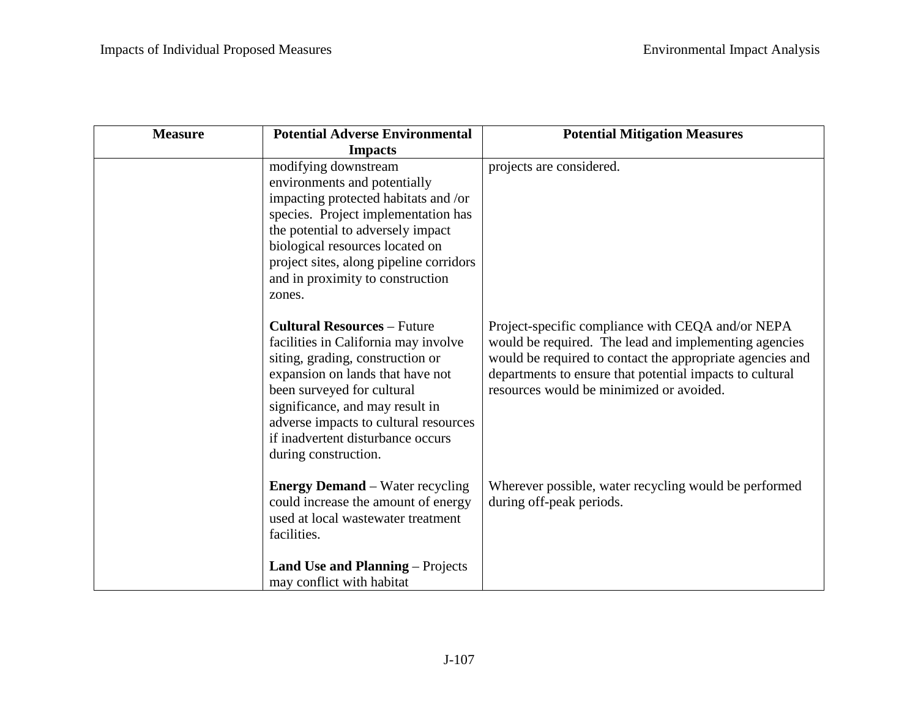| <b>Measure</b> | <b>Potential Adverse Environmental</b>                                                                                                                                                                                                                                                                                    | <b>Potential Mitigation Measures</b>                                                                                                                                                                                                                                            |
|----------------|---------------------------------------------------------------------------------------------------------------------------------------------------------------------------------------------------------------------------------------------------------------------------------------------------------------------------|---------------------------------------------------------------------------------------------------------------------------------------------------------------------------------------------------------------------------------------------------------------------------------|
|                | <b>Impacts</b>                                                                                                                                                                                                                                                                                                            |                                                                                                                                                                                                                                                                                 |
|                | modifying downstream<br>environments and potentially<br>impacting protected habitats and /or<br>species. Project implementation has<br>the potential to adversely impact<br>biological resources located on<br>project sites, along pipeline corridors<br>and in proximity to construction<br>zones.                      | projects are considered.                                                                                                                                                                                                                                                        |
|                | <b>Cultural Resources - Future</b><br>facilities in California may involve<br>siting, grading, construction or<br>expansion on lands that have not<br>been surveyed for cultural<br>significance, and may result in<br>adverse impacts to cultural resources<br>if inadvertent disturbance occurs<br>during construction. | Project-specific compliance with CEQA and/or NEPA<br>would be required. The lead and implementing agencies<br>would be required to contact the appropriate agencies and<br>departments to ensure that potential impacts to cultural<br>resources would be minimized or avoided. |
|                | <b>Energy Demand</b> – Water recycling<br>could increase the amount of energy<br>used at local wastewater treatment<br>facilities.<br><b>Land Use and Planning – Projects</b>                                                                                                                                             | Wherever possible, water recycling would be performed<br>during off-peak periods.                                                                                                                                                                                               |
|                | may conflict with habitat                                                                                                                                                                                                                                                                                                 |                                                                                                                                                                                                                                                                                 |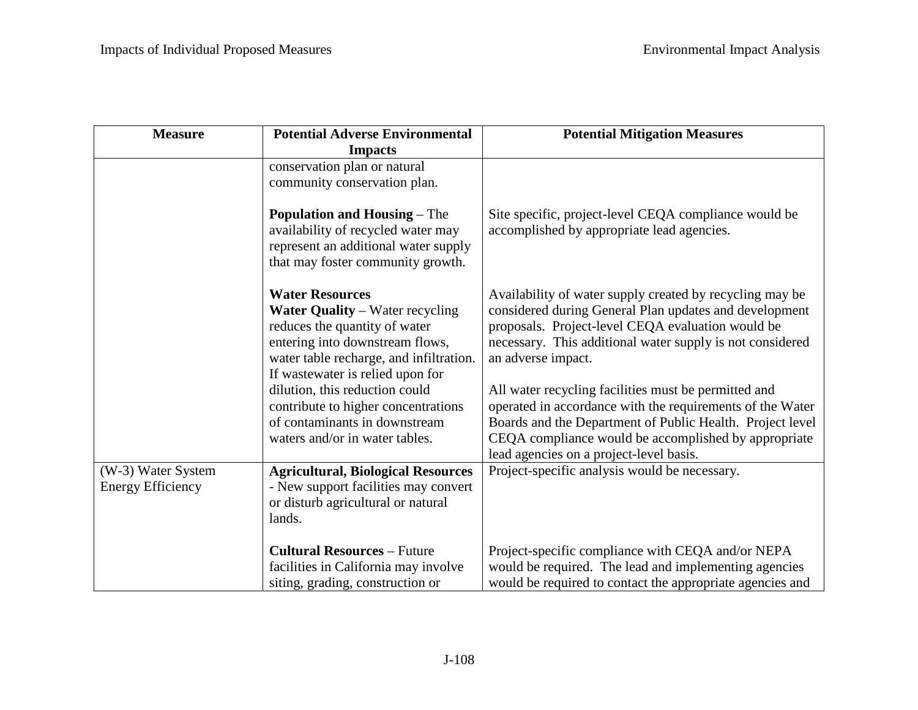| <b>Measure</b>                                 | <b>Potential Adverse Environmental</b>                                                                                                                                                                                                                                                                                                                          | <b>Potential Mitigation Measures</b>                                                                                                                                                                                                                                                                                                                                                                                                                                                                                                            |
|------------------------------------------------|-----------------------------------------------------------------------------------------------------------------------------------------------------------------------------------------------------------------------------------------------------------------------------------------------------------------------------------------------------------------|-------------------------------------------------------------------------------------------------------------------------------------------------------------------------------------------------------------------------------------------------------------------------------------------------------------------------------------------------------------------------------------------------------------------------------------------------------------------------------------------------------------------------------------------------|
|                                                | <b>Impacts</b>                                                                                                                                                                                                                                                                                                                                                  |                                                                                                                                                                                                                                                                                                                                                                                                                                                                                                                                                 |
|                                                | conservation plan or natural<br>community conservation plan.                                                                                                                                                                                                                                                                                                    |                                                                                                                                                                                                                                                                                                                                                                                                                                                                                                                                                 |
|                                                | <b>Population and Housing – The</b><br>availability of recycled water may<br>represent an additional water supply<br>that may foster community growth.                                                                                                                                                                                                          | Site specific, project-level CEQA compliance would be<br>accomplished by appropriate lead agencies.                                                                                                                                                                                                                                                                                                                                                                                                                                             |
|                                                | <b>Water Resources</b><br><b>Water Quality</b> – Water recycling<br>reduces the quantity of water<br>entering into downstream flows,<br>water table recharge, and infiltration.<br>If wastewater is relied upon for<br>dilution, this reduction could<br>contribute to higher concentrations<br>of contaminants in downstream<br>waters and/or in water tables. | Availability of water supply created by recycling may be<br>considered during General Plan updates and development<br>proposals. Project-level CEQA evaluation would be<br>necessary. This additional water supply is not considered<br>an adverse impact.<br>All water recycling facilities must be permitted and<br>operated in accordance with the requirements of the Water<br>Boards and the Department of Public Health. Project level<br>CEQA compliance would be accomplished by appropriate<br>lead agencies on a project-level basis. |
| (W-3) Water System<br><b>Energy Efficiency</b> | <b>Agricultural, Biological Resources</b><br>- New support facilities may convert<br>or disturb agricultural or natural<br>lands.                                                                                                                                                                                                                               | Project-specific analysis would be necessary.                                                                                                                                                                                                                                                                                                                                                                                                                                                                                                   |
|                                                | <b>Cultural Resources - Future</b><br>facilities in California may involve<br>siting, grading, construction or                                                                                                                                                                                                                                                  | Project-specific compliance with CEQA and/or NEPA<br>would be required. The lead and implementing agencies<br>would be required to contact the appropriate agencies and                                                                                                                                                                                                                                                                                                                                                                         |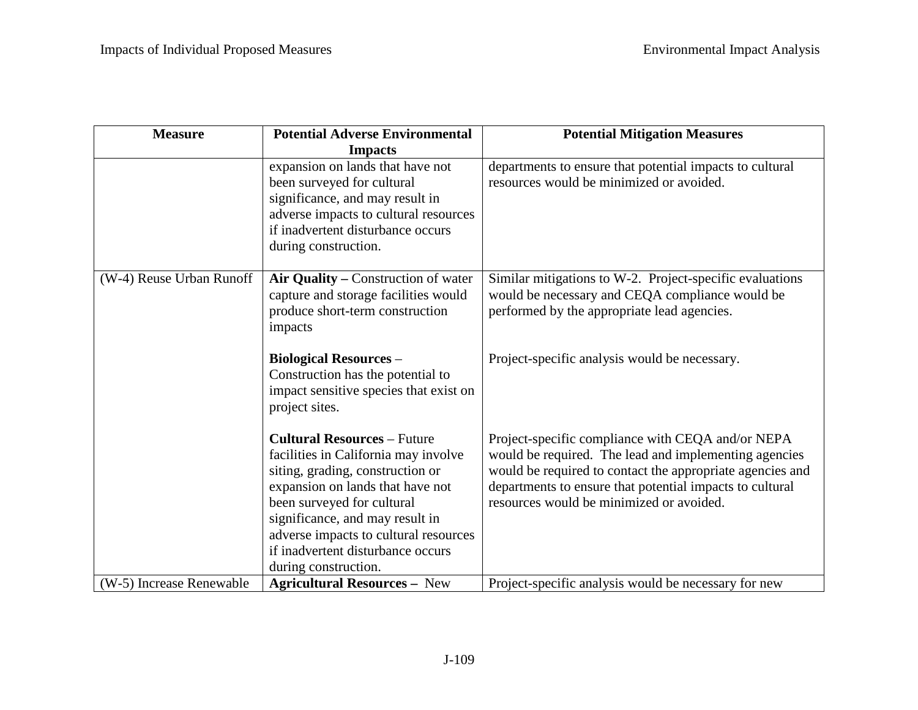| <b>Measure</b>           | <b>Potential Adverse Environmental</b>                                                                                                                                                                                                                                                                                    | <b>Potential Mitigation Measures</b>                                                                                                                                                                                                                                            |
|--------------------------|---------------------------------------------------------------------------------------------------------------------------------------------------------------------------------------------------------------------------------------------------------------------------------------------------------------------------|---------------------------------------------------------------------------------------------------------------------------------------------------------------------------------------------------------------------------------------------------------------------------------|
|                          | <b>Impacts</b>                                                                                                                                                                                                                                                                                                            |                                                                                                                                                                                                                                                                                 |
|                          | expansion on lands that have not<br>been surveyed for cultural<br>significance, and may result in<br>adverse impacts to cultural resources<br>if inadvertent disturbance occurs<br>during construction.                                                                                                                   | departments to ensure that potential impacts to cultural<br>resources would be minimized or avoided.                                                                                                                                                                            |
| (W-4) Reuse Urban Runoff | Air Quality – Construction of water<br>capture and storage facilities would<br>produce short-term construction<br>impacts                                                                                                                                                                                                 | Similar mitigations to W-2. Project-specific evaluations<br>would be necessary and CEQA compliance would be<br>performed by the appropriate lead agencies.                                                                                                                      |
|                          | <b>Biological Resources -</b><br>Construction has the potential to<br>impact sensitive species that exist on<br>project sites.                                                                                                                                                                                            | Project-specific analysis would be necessary.                                                                                                                                                                                                                                   |
|                          | <b>Cultural Resources - Future</b><br>facilities in California may involve<br>siting, grading, construction or<br>expansion on lands that have not<br>been surveyed for cultural<br>significance, and may result in<br>adverse impacts to cultural resources<br>if inadvertent disturbance occurs<br>during construction. | Project-specific compliance with CEQA and/or NEPA<br>would be required. The lead and implementing agencies<br>would be required to contact the appropriate agencies and<br>departments to ensure that potential impacts to cultural<br>resources would be minimized or avoided. |
| (W-5) Increase Renewable | <b>Agricultural Resources - New</b>                                                                                                                                                                                                                                                                                       | Project-specific analysis would be necessary for new                                                                                                                                                                                                                            |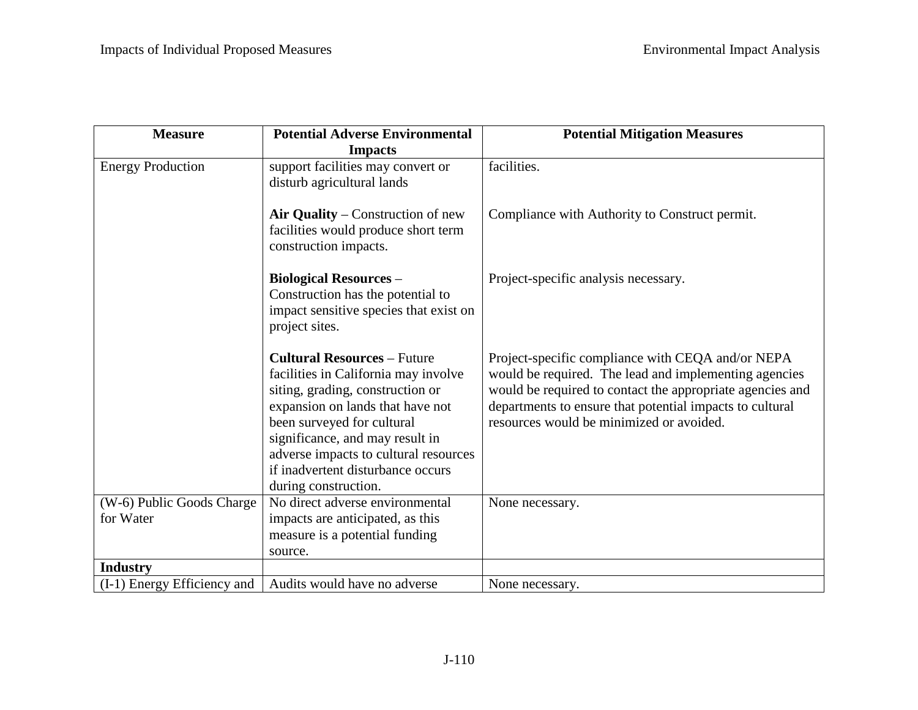| <b>Measure</b>              | <b>Potential Adverse Environmental</b>                             | <b>Potential Mitigation Measures</b>                      |
|-----------------------------|--------------------------------------------------------------------|-----------------------------------------------------------|
|                             | <b>Impacts</b>                                                     |                                                           |
| <b>Energy Production</b>    | support facilities may convert or                                  | facilities.                                               |
|                             | disturb agricultural lands                                         |                                                           |
|                             |                                                                    |                                                           |
|                             | Air Quality – Construction of new                                  | Compliance with Authority to Construct permit.            |
|                             | facilities would produce short term                                |                                                           |
|                             | construction impacts.                                              |                                                           |
|                             |                                                                    |                                                           |
|                             | <b>Biological Resources -</b><br>Construction has the potential to | Project-specific analysis necessary.                      |
|                             | impact sensitive species that exist on                             |                                                           |
|                             | project sites.                                                     |                                                           |
|                             |                                                                    |                                                           |
|                             | <b>Cultural Resources - Future</b>                                 | Project-specific compliance with CEQA and/or NEPA         |
|                             | facilities in California may involve                               | would be required. The lead and implementing agencies     |
|                             | siting, grading, construction or                                   | would be required to contact the appropriate agencies and |
|                             | expansion on lands that have not                                   | departments to ensure that potential impacts to cultural  |
|                             | been surveyed for cultural                                         | resources would be minimized or avoided.                  |
|                             | significance, and may result in                                    |                                                           |
|                             | adverse impacts to cultural resources                              |                                                           |
|                             | if inadvertent disturbance occurs                                  |                                                           |
|                             | during construction.                                               |                                                           |
| (W-6) Public Goods Charge   | No direct adverse environmental                                    | None necessary.                                           |
| for Water                   | impacts are anticipated, as this                                   |                                                           |
|                             | measure is a potential funding                                     |                                                           |
|                             | source.                                                            |                                                           |
| <b>Industry</b>             |                                                                    |                                                           |
| (I-1) Energy Efficiency and | Audits would have no adverse                                       | None necessary.                                           |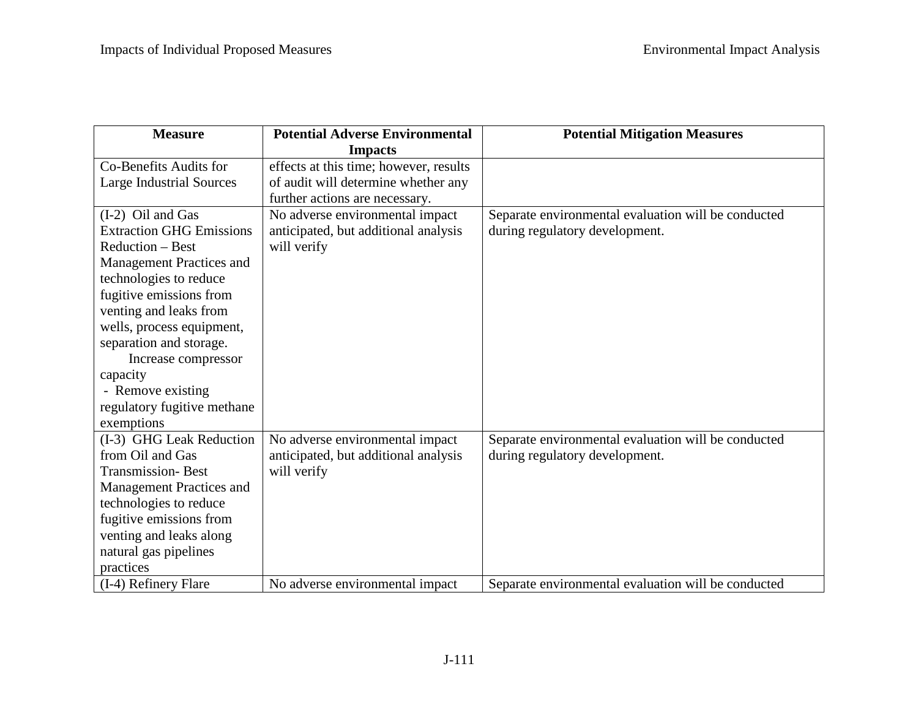| <b>Measure</b>                  | <b>Potential Adverse Environmental</b> | <b>Potential Mitigation Measures</b>                |
|---------------------------------|----------------------------------------|-----------------------------------------------------|
|                                 | <b>Impacts</b>                         |                                                     |
| Co-Benefits Audits for          | effects at this time; however, results |                                                     |
| <b>Large Industrial Sources</b> | of audit will determine whether any    |                                                     |
|                                 | further actions are necessary.         |                                                     |
| $(I-2)$ Oil and Gas             | No adverse environmental impact        | Separate environmental evaluation will be conducted |
| <b>Extraction GHG Emissions</b> | anticipated, but additional analysis   | during regulatory development.                      |
| Reduction – Best                | will verify                            |                                                     |
| <b>Management Practices and</b> |                                        |                                                     |
| technologies to reduce          |                                        |                                                     |
| fugitive emissions from         |                                        |                                                     |
| venting and leaks from          |                                        |                                                     |
| wells, process equipment,       |                                        |                                                     |
| separation and storage.         |                                        |                                                     |
| Increase compressor             |                                        |                                                     |
| capacity                        |                                        |                                                     |
| - Remove existing               |                                        |                                                     |
| regulatory fugitive methane     |                                        |                                                     |
| exemptions                      |                                        |                                                     |
| (I-3) GHG Leak Reduction        | No adverse environmental impact        | Separate environmental evaluation will be conducted |
| from Oil and Gas                | anticipated, but additional analysis   | during regulatory development.                      |
| <b>Transmission-Best</b>        | will verify                            |                                                     |
| <b>Management Practices and</b> |                                        |                                                     |
| technologies to reduce          |                                        |                                                     |
| fugitive emissions from         |                                        |                                                     |
| venting and leaks along         |                                        |                                                     |
| natural gas pipelines           |                                        |                                                     |
| practices                       |                                        |                                                     |
| (I-4) Refinery Flare            | No adverse environmental impact        | Separate environmental evaluation will be conducted |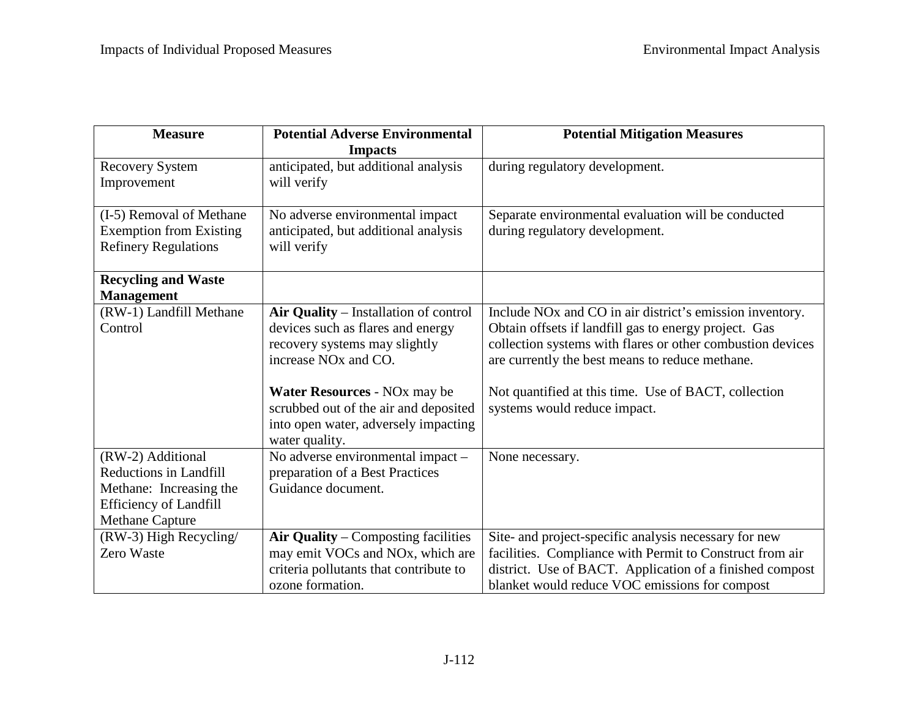| <b>Measure</b>                                                                                                                           | <b>Potential Adverse Environmental</b><br><b>Impacts</b>                                                                                                                                                                                                                                       | <b>Potential Mitigation Measures</b>                                                                                                                                                                                                                                                                                                   |
|------------------------------------------------------------------------------------------------------------------------------------------|------------------------------------------------------------------------------------------------------------------------------------------------------------------------------------------------------------------------------------------------------------------------------------------------|----------------------------------------------------------------------------------------------------------------------------------------------------------------------------------------------------------------------------------------------------------------------------------------------------------------------------------------|
| <b>Recovery System</b><br>Improvement                                                                                                    | anticipated, but additional analysis<br>will verify                                                                                                                                                                                                                                            | during regulatory development.                                                                                                                                                                                                                                                                                                         |
| (I-5) Removal of Methane<br><b>Exemption from Existing</b><br><b>Refinery Regulations</b>                                                | No adverse environmental impact<br>anticipated, but additional analysis<br>will verify                                                                                                                                                                                                         | Separate environmental evaluation will be conducted<br>during regulatory development.                                                                                                                                                                                                                                                  |
| <b>Recycling and Waste</b><br><b>Management</b>                                                                                          |                                                                                                                                                                                                                                                                                                |                                                                                                                                                                                                                                                                                                                                        |
| (RW-1) Landfill Methane<br>Control                                                                                                       | Air Quality - Installation of control<br>devices such as flares and energy<br>recovery systems may slightly<br>increase NO <sub>x</sub> and CO.<br>Water Resources - NO <sub>x</sub> may be<br>scrubbed out of the air and deposited<br>into open water, adversely impacting<br>water quality. | Include NO <sub>x</sub> and CO in air district's emission inventory.<br>Obtain offsets if landfill gas to energy project. Gas<br>collection systems with flares or other combustion devices<br>are currently the best means to reduce methane.<br>Not quantified at this time. Use of BACT, collection<br>systems would reduce impact. |
| (RW-2) Additional<br><b>Reductions in Landfill</b><br>Methane: Increasing the<br><b>Efficiency of Landfill</b><br><b>Methane Capture</b> | No adverse environmental impact -<br>preparation of a Best Practices<br>Guidance document.                                                                                                                                                                                                     | None necessary.                                                                                                                                                                                                                                                                                                                        |
| (RW-3) High Recycling/<br>Zero Waste                                                                                                     | Air Quality – Composting facilities<br>may emit VOCs and NOx, which are<br>criteria pollutants that contribute to<br>ozone formation.                                                                                                                                                          | Site- and project-specific analysis necessary for new<br>facilities. Compliance with Permit to Construct from air<br>district. Use of BACT. Application of a finished compost<br>blanket would reduce VOC emissions for compost                                                                                                        |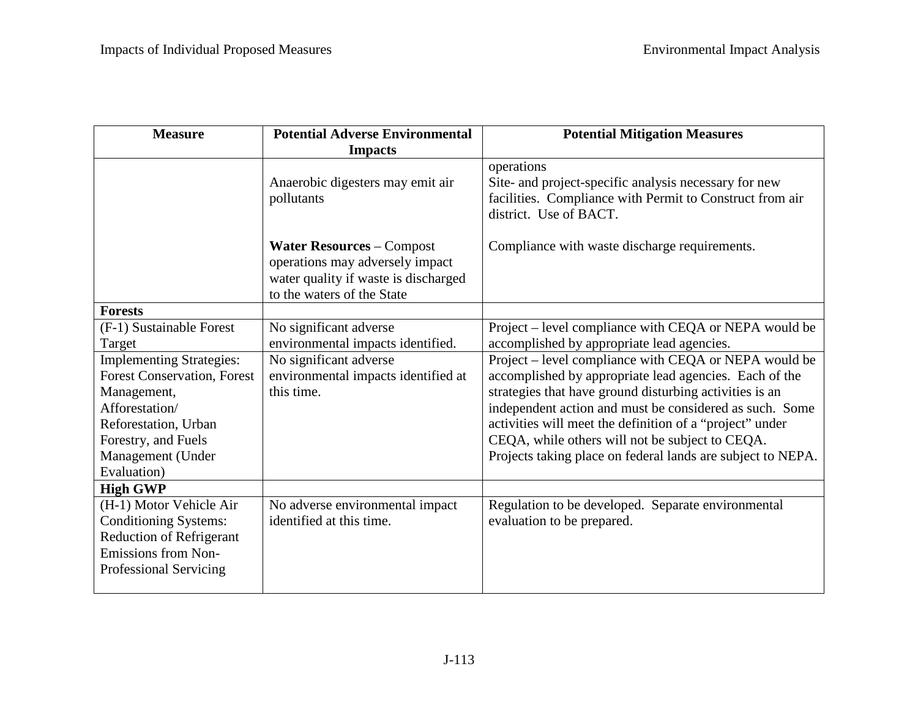| <b>Measure</b>                                                                                                                                                                            | <b>Potential Adverse Environmental</b>                                                                                                    | <b>Potential Mitigation Measures</b>                                                                                                                                                                                                                                                                                                                                                                                |
|-------------------------------------------------------------------------------------------------------------------------------------------------------------------------------------------|-------------------------------------------------------------------------------------------------------------------------------------------|---------------------------------------------------------------------------------------------------------------------------------------------------------------------------------------------------------------------------------------------------------------------------------------------------------------------------------------------------------------------------------------------------------------------|
|                                                                                                                                                                                           | <b>Impacts</b>                                                                                                                            |                                                                                                                                                                                                                                                                                                                                                                                                                     |
|                                                                                                                                                                                           | Anaerobic digesters may emit air<br>pollutants                                                                                            | operations<br>Site- and project-specific analysis necessary for new<br>facilities. Compliance with Permit to Construct from air<br>district. Use of BACT.                                                                                                                                                                                                                                                           |
|                                                                                                                                                                                           | <b>Water Resources - Compost</b><br>operations may adversely impact<br>water quality if waste is discharged<br>to the waters of the State | Compliance with waste discharge requirements.                                                                                                                                                                                                                                                                                                                                                                       |
| <b>Forests</b>                                                                                                                                                                            |                                                                                                                                           |                                                                                                                                                                                                                                                                                                                                                                                                                     |
| (F-1) Sustainable Forest<br>Target                                                                                                                                                        | No significant adverse<br>environmental impacts identified.                                                                               | Project – level compliance with CEQA or NEPA would be<br>accomplished by appropriate lead agencies.                                                                                                                                                                                                                                                                                                                 |
| <b>Implementing Strategies:</b><br><b>Forest Conservation, Forest</b><br>Management,<br>Afforestation/<br>Reforestation, Urban<br>Forestry, and Fuels<br>Management (Under<br>Evaluation) | No significant adverse<br>environmental impacts identified at<br>this time.                                                               | Project – level compliance with CEQA or NEPA would be<br>accomplished by appropriate lead agencies. Each of the<br>strategies that have ground disturbing activities is an<br>independent action and must be considered as such. Some<br>activities will meet the definition of a "project" under<br>CEQA, while others will not be subject to CEQA.<br>Projects taking place on federal lands are subject to NEPA. |
| <b>High GWP</b>                                                                                                                                                                           |                                                                                                                                           |                                                                                                                                                                                                                                                                                                                                                                                                                     |
| (H-1) Motor Vehicle Air<br><b>Conditioning Systems:</b><br><b>Reduction of Refrigerant</b><br>Emissions from Non-<br>Professional Servicing                                               | No adverse environmental impact<br>identified at this time.                                                                               | Regulation to be developed. Separate environmental<br>evaluation to be prepared.                                                                                                                                                                                                                                                                                                                                    |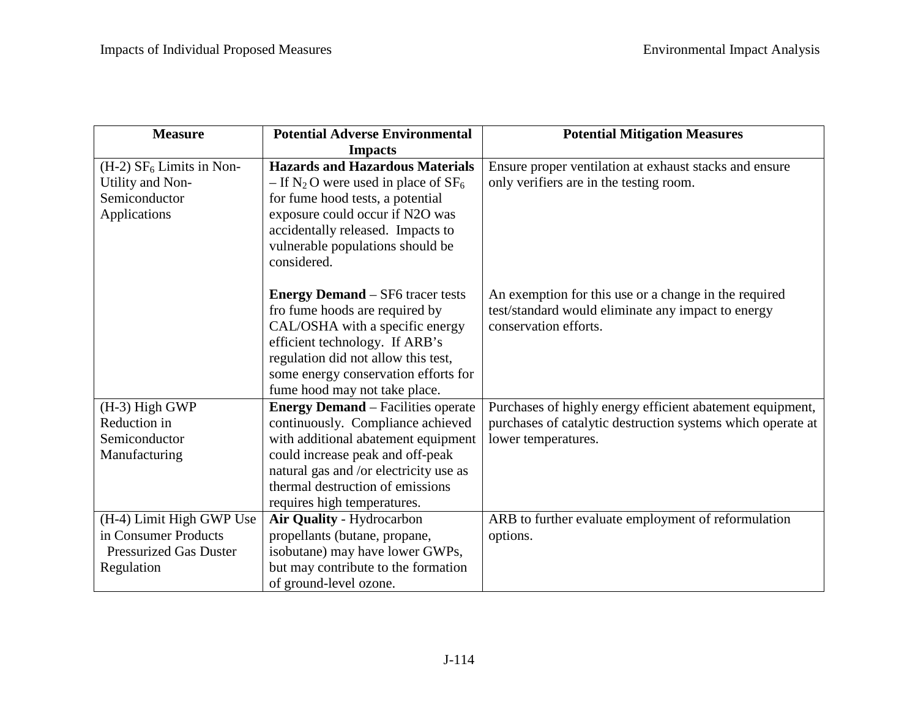| <b>Measure</b>                         | <b>Potential Adverse Environmental</b>                                      | <b>Potential Mitigation Measures</b>                        |
|----------------------------------------|-----------------------------------------------------------------------------|-------------------------------------------------------------|
|                                        | <b>Impacts</b>                                                              |                                                             |
| $(H-2)$ SF <sub>6</sub> Limits in Non- | <b>Hazards and Hazardous Materials</b>                                      | Ensure proper ventilation at exhaust stacks and ensure      |
| Utility and Non-                       | - If N <sub>2</sub> O were used in place of $SF_6$                          | only verifiers are in the testing room.                     |
| Semiconductor                          | for fume hood tests, a potential                                            |                                                             |
| Applications                           | exposure could occur if N2O was                                             |                                                             |
|                                        | accidentally released. Impacts to                                           |                                                             |
|                                        | vulnerable populations should be                                            |                                                             |
|                                        | considered.                                                                 |                                                             |
|                                        |                                                                             |                                                             |
|                                        | <b>Energy Demand</b> – SF6 tracer tests                                     | An exemption for this use or a change in the required       |
|                                        | fro fume hoods are required by                                              | test/standard would eliminate any impact to energy          |
|                                        | CAL/OSHA with a specific energy                                             | conservation efforts.                                       |
|                                        | efficient technology. If ARB's                                              |                                                             |
|                                        | regulation did not allow this test,<br>some energy conservation efforts for |                                                             |
|                                        | fume hood may not take place.                                               |                                                             |
| (H-3) High GWP                         | <b>Energy Demand</b> – Facilities operate                                   | Purchases of highly energy efficient abatement equipment,   |
| Reduction in                           | continuously. Compliance achieved                                           | purchases of catalytic destruction systems which operate at |
| Semiconductor                          | with additional abatement equipment                                         | lower temperatures.                                         |
| Manufacturing                          | could increase peak and off-peak                                            |                                                             |
|                                        | natural gas and /or electricity use as                                      |                                                             |
|                                        | thermal destruction of emissions                                            |                                                             |
|                                        | requires high temperatures.                                                 |                                                             |
| (H-4) Limit High GWP Use               | Air Quality - Hydrocarbon                                                   | ARB to further evaluate employment of reformulation         |
| in Consumer Products                   | propellants (butane, propane,                                               | options.                                                    |
| <b>Pressurized Gas Duster</b>          | isobutane) may have lower GWPs,                                             |                                                             |
| Regulation                             | but may contribute to the formation                                         |                                                             |
|                                        | of ground-level ozone.                                                      |                                                             |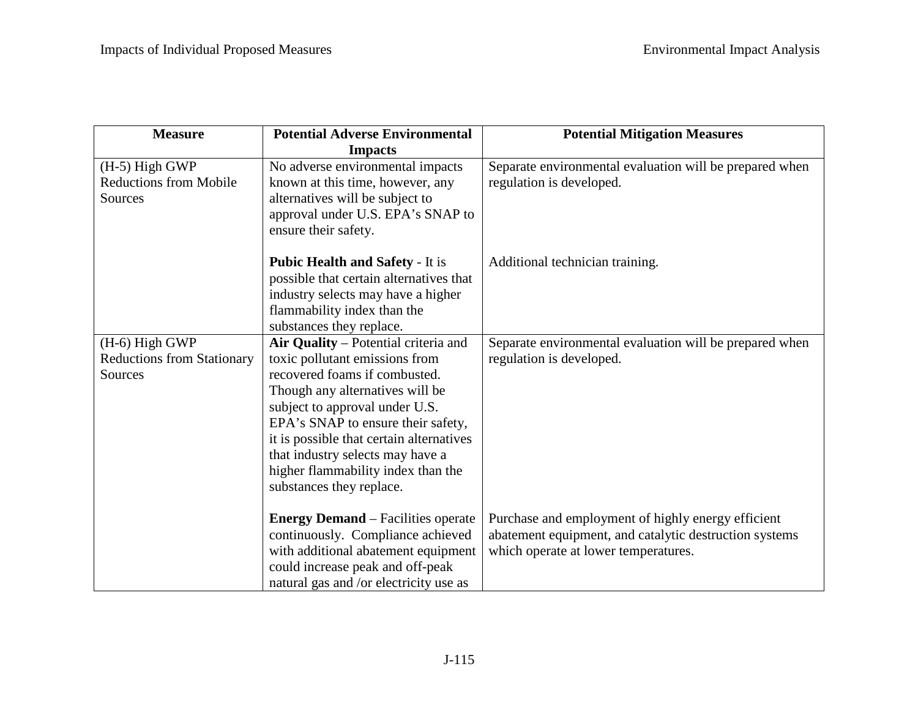| <b>Measure</b>                                                 | <b>Potential Adverse Environmental</b>                                                                                                                                                                                                                                                                                                                               | <b>Potential Mitigation Measures</b>                                                                                                                 |
|----------------------------------------------------------------|----------------------------------------------------------------------------------------------------------------------------------------------------------------------------------------------------------------------------------------------------------------------------------------------------------------------------------------------------------------------|------------------------------------------------------------------------------------------------------------------------------------------------------|
|                                                                | <b>Impacts</b>                                                                                                                                                                                                                                                                                                                                                       |                                                                                                                                                      |
| $(H-5)$ High GWP<br><b>Reductions from Mobile</b><br>Sources   | No adverse environmental impacts<br>known at this time, however, any<br>alternatives will be subject to<br>approval under U.S. EPA's SNAP to<br>ensure their safety.                                                                                                                                                                                                 | Separate environmental evaluation will be prepared when<br>regulation is developed.                                                                  |
|                                                                | <b>Pubic Health and Safety - It is</b><br>possible that certain alternatives that<br>industry selects may have a higher<br>flammability index than the<br>substances they replace.                                                                                                                                                                                   | Additional technician training.                                                                                                                      |
| (H-6) High GWP<br><b>Reductions from Stationary</b><br>Sources | Air Quality - Potential criteria and<br>toxic pollutant emissions from<br>recovered foams if combusted.<br>Though any alternatives will be<br>subject to approval under U.S.<br>EPA's SNAP to ensure their safety,<br>it is possible that certain alternatives<br>that industry selects may have a<br>higher flammability index than the<br>substances they replace. | Separate environmental evaluation will be prepared when<br>regulation is developed.                                                                  |
|                                                                | <b>Energy Demand</b> – Facilities operate<br>continuously. Compliance achieved<br>with additional abatement equipment<br>could increase peak and off-peak<br>natural gas and /or electricity use as                                                                                                                                                                  | Purchase and employment of highly energy efficient<br>abatement equipment, and catalytic destruction systems<br>which operate at lower temperatures. |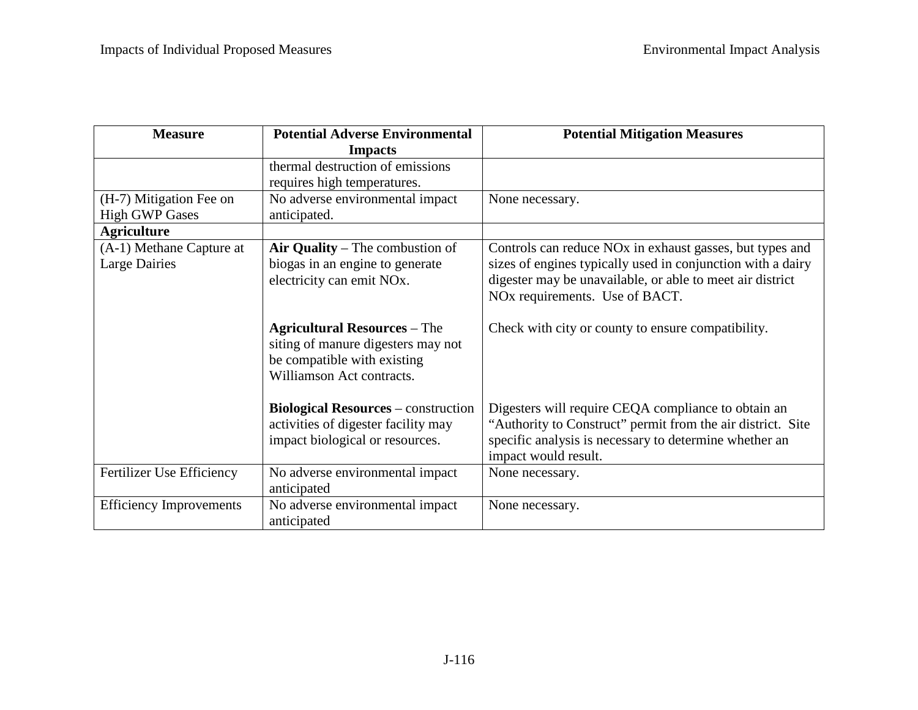| <b>Measure</b>                                   | <b>Potential Adverse Environmental</b>                                                                                                | <b>Potential Mitigation Measures</b>                                                                                                                                                                                               |
|--------------------------------------------------|---------------------------------------------------------------------------------------------------------------------------------------|------------------------------------------------------------------------------------------------------------------------------------------------------------------------------------------------------------------------------------|
|                                                  | <b>Impacts</b>                                                                                                                        |                                                                                                                                                                                                                                    |
|                                                  | thermal destruction of emissions<br>requires high temperatures.                                                                       |                                                                                                                                                                                                                                    |
| (H-7) Mitigation Fee on<br><b>High GWP Gases</b> | No adverse environmental impact<br>anticipated.                                                                                       | None necessary.                                                                                                                                                                                                                    |
| <b>Agriculture</b>                               |                                                                                                                                       |                                                                                                                                                                                                                                    |
| (A-1) Methane Capture at<br><b>Large Dairies</b> | Air Quality – The combustion of<br>biogas in an engine to generate<br>electricity can emit NO <sub>x</sub> .                          | Controls can reduce NO <sub>x</sub> in exhaust gasses, but types and<br>sizes of engines typically used in conjunction with a dairy<br>digester may be unavailable, or able to meet air district<br>NOx requirements. Use of BACT. |
|                                                  | <b>Agricultural Resources - The</b><br>siting of manure digesters may not<br>be compatible with existing<br>Williamson Act contracts. | Check with city or county to ensure compatibility.                                                                                                                                                                                 |
|                                                  | <b>Biological Resources</b> – construction<br>activities of digester facility may<br>impact biological or resources.                  | Digesters will require CEQA compliance to obtain an<br>"Authority to Construct" permit from the air district. Site<br>specific analysis is necessary to determine whether an<br>impact would result.                               |
| Fertilizer Use Efficiency                        | No adverse environmental impact<br>anticipated                                                                                        | None necessary.                                                                                                                                                                                                                    |
| <b>Efficiency Improvements</b>                   | No adverse environmental impact<br>anticipated                                                                                        | None necessary.                                                                                                                                                                                                                    |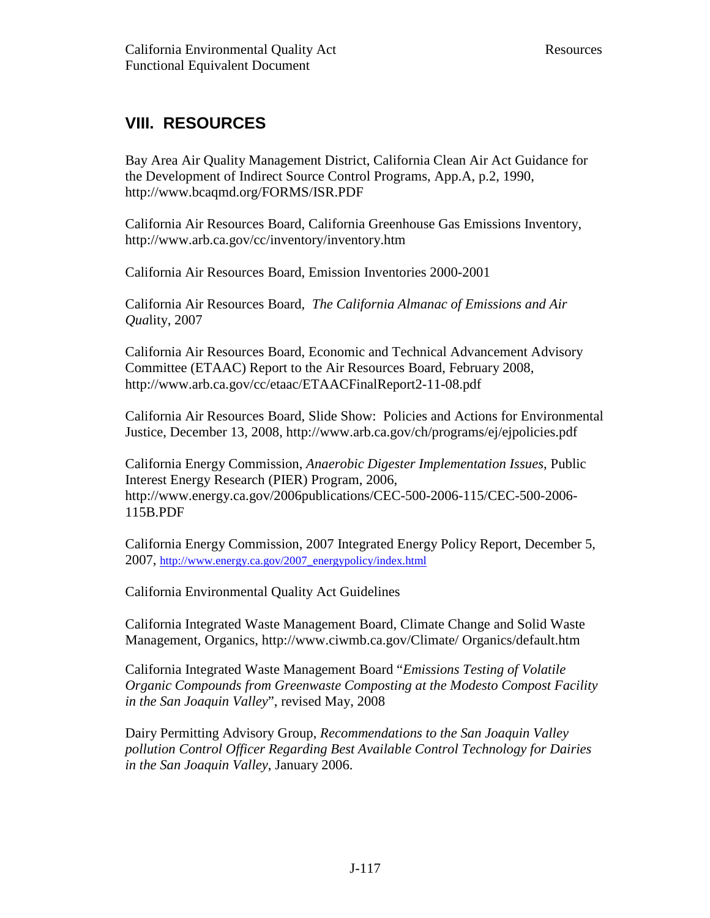## **VIII. RESOURCES**

 Bay Area Air Quality Management District, California Clean Air Act Guidance for the Development of Indirect Source Control Programs, App.A, p.2, 1990, <http://www.bcaqmd.org/FORMS/ISR.PDF>

 California Air Resources Board, California Greenhouse Gas Emissions Inventory, <http://www.arb.ca.gov/cc/inventory/inventory.htm>

California Air Resources Board, Emission Inventories 2000-2001

 California Air Resources Board, *The California Almanac of Emissions and Air Qua*lity, 2007

 California Air Resources Board, Economic and Technical Advancement Advisory Committee (ETAAC) Report to the Air Resources Board, February 2008, <http://www.arb.ca.gov/cc/etaac/ETAACFinalReport2-11-08.pdf>

 California Air Resources Board, Slide Show: Policies and Actions for Environmental Justice, December 13, 2008, <http://www.arb.ca.gov/ch/programs/ej/ejpolicies.pdf>

 California Energy Commission, *Anaerobic Digester Implementation Issues*, Public Interest Energy Research (PIER) Program, 2006, <http://www.energy.ca.gov/2006publications/CEC-500-2006-115/CEC-500-2006>- 115B.PDF

 California Energy Commission, 2007 Integrated Energy Policy Report, December 5, 2007, [http://www.energy.ca.gov/2007\\_energypolicy/index.html](http://www.energy.ca.gov/2007_energypolicy/index.html) 

California Environmental Quality Act Guidelines

 California Integrated Waste Management Board, Climate Change and Solid Waste Management, Organics, <http://www.ciwmb.ca.gov/Climate>/ Organics/default.htm

 California Integrated Waste Management Board "*Emissions Testing of Volatile Organic Compounds from Greenwaste Composting at the Modesto Compost Facility in the San Joaquin Valley*", revised May, 2008

 Dairy Permitting Advisory Group, *Recommendations to the San Joaquin Valley pollution Control Officer Regarding Best Available Control Technology for Dairies in the San Joaquin Valley*, January 2006.